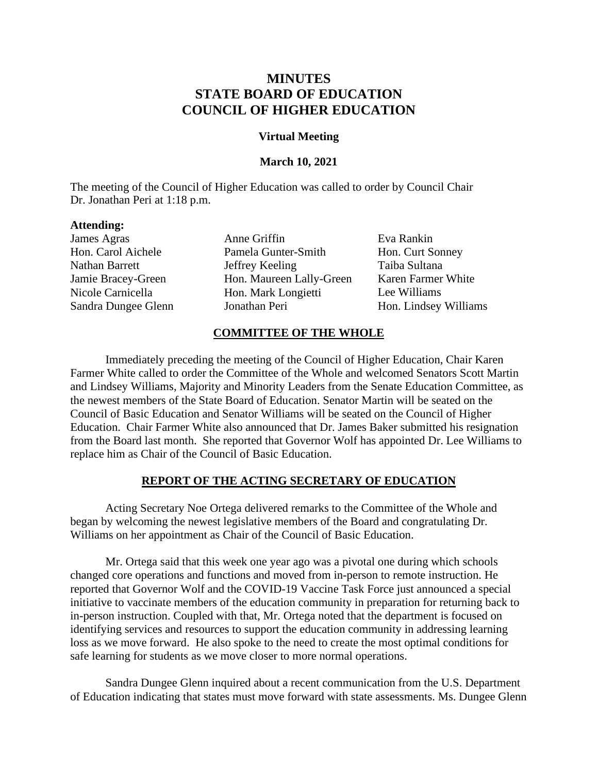# **MINUTES STATE BOARD OF EDUCATION COUNCIL OF HIGHER EDUCATION**

### **Virtual Meeting**

### **March 10, 2021**

The meeting of the Council of Higher Education was called to order by Council Chair Dr. Jonathan Peri at 1:18 p.m.

### **Attending:**

James Agras Hon. Carol Aichele Nathan Barrett Jamie Bracey-Green Nicole Carnicella Sandra Dungee Glenn Anne Griffin Pamela Gunter-Smith Jeffrey Keeling Hon. Maureen Lally-Green Hon. Mark Longietti Jonathan Peri

Eva Rankin Hon. Curt Sonney Taiba Sultana Karen Farmer White Lee Williams Hon. Lindsey Williams

# **COMMITTEE OF THE WHOLE**

Immediately preceding the meeting of the Council of Higher Education, Chair Karen Farmer White called to order the Committee of the Whole and welcomed Senators Scott Martin and Lindsey Williams, Majority and Minority Leaders from the Senate Education Committee, as the newest members of the State Board of Education. Senator Martin will be seated on the Council of Basic Education and Senator Williams will be seated on the Council of Higher Education. Chair Farmer White also announced that Dr. James Baker submitted his resignation from the Board last month. She reported that Governor Wolf has appointed Dr. Lee Williams to replace him as Chair of the Council of Basic Education.

#### **REPORT OF THE ACTING SECRETARY OF EDUCATION**

Acting Secretary Noe Ortega delivered remarks to the Committee of the Whole and began by welcoming the newest legislative members of the Board and congratulating Dr. Williams on her appointment as Chair of the Council of Basic Education.

Mr. Ortega said that this week one year ago was a pivotal one during which schools changed core operations and functions and moved from in-person to remote instruction. He reported that Governor Wolf and the COVID-19 Vaccine Task Force just announced a special initiative to vaccinate members of the education community in preparation for returning back to in-person instruction. Coupled with that, Mr. Ortega noted that the department is focused on identifying services and resources to support the education community in addressing learning loss as we move forward. He also spoke to the need to create the most optimal conditions for safe learning for students as we move closer to more normal operations.

Sandra Dungee Glenn inquired about a recent communication from the U.S. Department of Education indicating that states must move forward with state assessments. Ms. Dungee Glenn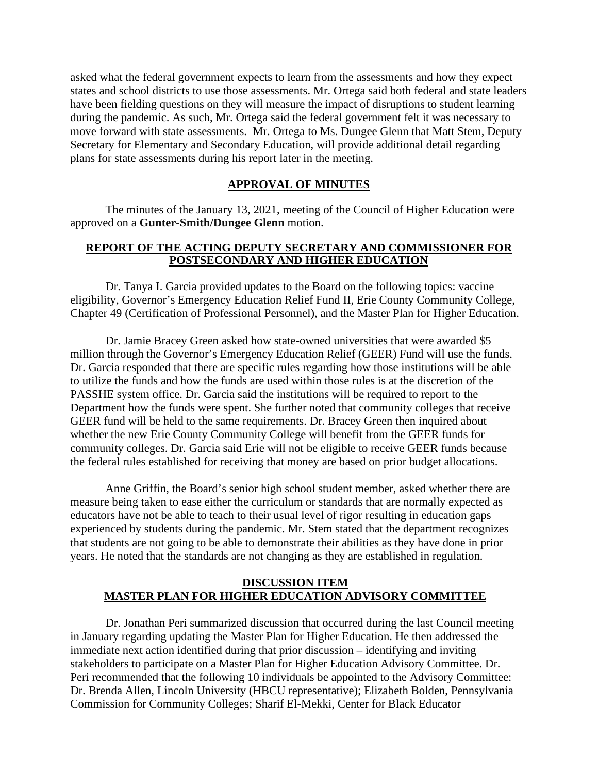asked what the federal government expects to learn from the assessments and how they expect states and school districts to use those assessments. Mr. Ortega said both federal and state leaders have been fielding questions on they will measure the impact of disruptions to student learning during the pandemic. As such, Mr. Ortega said the federal government felt it was necessary to move forward with state assessments. Mr. Ortega to Ms. Dungee Glenn that Matt Stem, Deputy Secretary for Elementary and Secondary Education, will provide additional detail regarding plans for state assessments during his report later in the meeting.

#### **APPROVAL OF MINUTES**

The minutes of the January 13, 2021, meeting of the Council of Higher Education were approved on a **Gunter-Smith/Dungee Glenn** motion.

# **REPORT OF THE ACTING DEPUTY SECRETARY AND COMMISSIONER FOR POSTSECONDARY AND HIGHER EDUCATION**

Dr. Tanya I. Garcia provided updates to the Board on the following topics: vaccine eligibility, Governor's Emergency Education Relief Fund II, Erie County Community College, Chapter 49 (Certification of Professional Personnel), and the Master Plan for Higher Education.

Dr. Jamie Bracey Green asked how state-owned universities that were awarded \$5 million through the Governor's Emergency Education Relief (GEER) Fund will use the funds. Dr. Garcia responded that there are specific rules regarding how those institutions will be able to utilize the funds and how the funds are used within those rules is at the discretion of the PASSHE system office. Dr. Garcia said the institutions will be required to report to the Department how the funds were spent. She further noted that community colleges that receive GEER fund will be held to the same requirements. Dr. Bracey Green then inquired about whether the new Erie County Community College will benefit from the GEER funds for community colleges. Dr. Garcia said Erie will not be eligible to receive GEER funds because the federal rules established for receiving that money are based on prior budget allocations.

Anne Griffin, the Board's senior high school student member, asked whether there are measure being taken to ease either the curriculum or standards that are normally expected as educators have not be able to teach to their usual level of rigor resulting in education gaps experienced by students during the pandemic. Mr. Stem stated that the department recognizes that students are not going to be able to demonstrate their abilities as they have done in prior years. He noted that the standards are not changing as they are established in regulation.

### **DISCUSSION ITEM MASTER PLAN FOR HIGHER EDUCATION ADVISORY COMMITTEE**

Dr. Jonathan Peri summarized discussion that occurred during the last Council meeting in January regarding updating the Master Plan for Higher Education. He then addressed the immediate next action identified during that prior discussion – identifying and inviting stakeholders to participate on a Master Plan for Higher Education Advisory Committee. Dr. Peri recommended that the following 10 individuals be appointed to the Advisory Committee: Dr. Brenda Allen, Lincoln University (HBCU representative); Elizabeth Bolden, Pennsylvania Commission for Community Colleges; Sharif El-Mekki, Center for Black Educator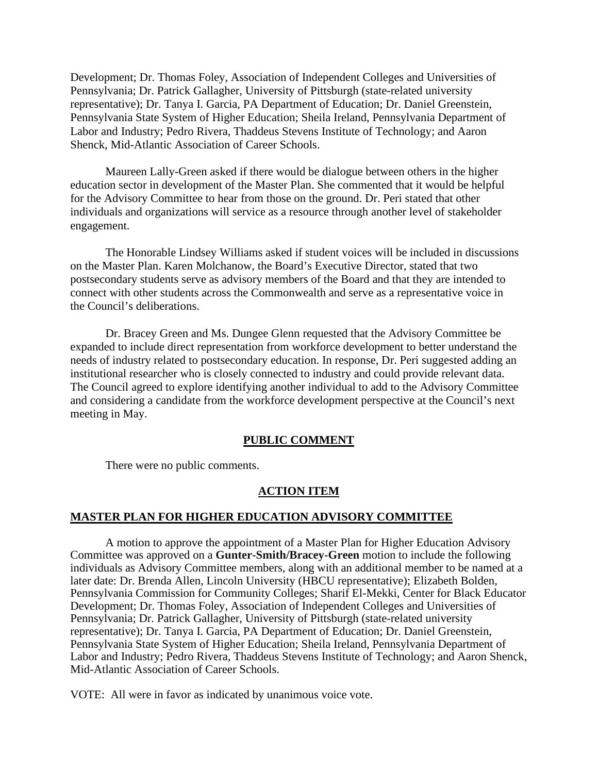Development; Dr. Thomas Foley, Association of Independent Colleges and Universities of Pennsylvania; Dr. Patrick Gallagher, University of Pittsburgh (state-related university representative); Dr. Tanya I. Garcia, PA Department of Education; Dr. Daniel Greenstein, Pennsylvania State System of Higher Education; Sheila Ireland, Pennsylvania Department of Labor and Industry; Pedro Rivera, Thaddeus Stevens Institute of Technology; and Aaron Shenck, Mid-Atlantic Association of Career Schools.

Maureen Lally-Green asked if there would be dialogue between others in the higher education sector in development of the Master Plan. She commented that it would be helpful for the Advisory Committee to hear from those on the ground. Dr. Peri stated that other individuals and organizations will service as a resource through another level of stakeholder engagement.

The Honorable Lindsey Williams asked if student voices will be included in discussions on the Master Plan. Karen Molchanow, the Board's Executive Director, stated that two postsecondary students serve as advisory members of the Board and that they are intended to connect with other students across the Commonwealth and serve as a representative voice in the Council's deliberations.

Dr. Bracey Green and Ms. Dungee Glenn requested that the Advisory Committee be expanded to include direct representation from workforce development to better understand the needs of industry related to postsecondary education. In response, Dr. Peri suggested adding an institutional researcher who is closely connected to industry and could provide relevant data. The Council agreed to explore identifying another individual to add to the Advisory Committee and considering a candidate from the workforce development perspective at the Council's next meeting in May.

#### **PUBLIC COMMENT**

There were no public comments.

# **ACTION ITEM**

#### **MASTER PLAN FOR HIGHER EDUCATION ADVISORY COMMITTEE**

A motion to approve the appointment of a Master Plan for Higher Education Advisory Committee was approved on a **Gunter-Smith/Bracey-Green** motion to include the following individuals as Advisory Committee members, along with an additional member to be named at a later date: Dr. Brenda Allen, Lincoln University (HBCU representative); Elizabeth Bolden, Pennsylvania Commission for Community Colleges; Sharif El-Mekki, Center for Black Educator Development; Dr. Thomas Foley, Association of Independent Colleges and Universities of Pennsylvania; Dr. Patrick Gallagher, University of Pittsburgh (state-related university representative); Dr. Tanya I. Garcia, PA Department of Education; Dr. Daniel Greenstein, Pennsylvania State System of Higher Education; Sheila Ireland, Pennsylvania Department of Labor and Industry; Pedro Rivera, Thaddeus Stevens Institute of Technology; and Aaron Shenck, Mid-Atlantic Association of Career Schools.

VOTE: All were in favor as indicated by unanimous voice vote.